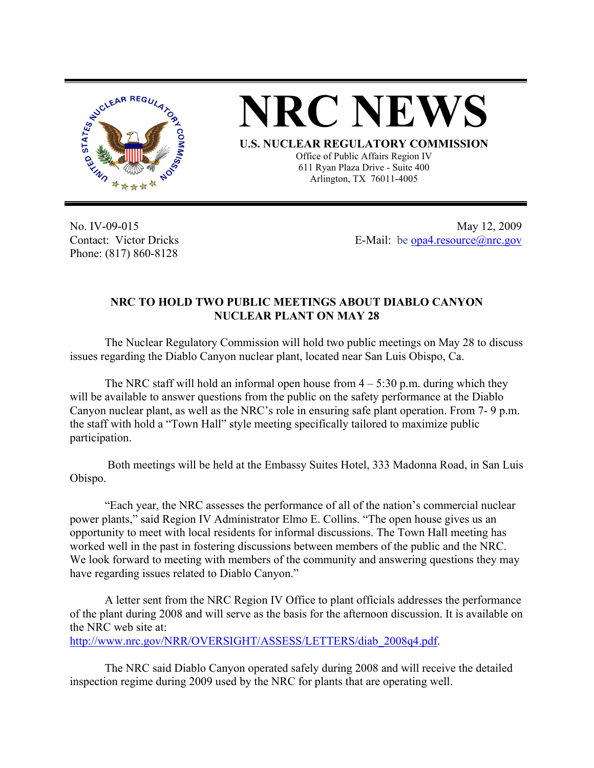

**NRC NEWS**

**U.S. NUCLEAR REGULATORY COMMISSION**

Office of Public Affairs Region IV 611 Ryan Plaza Drive - Suite 400 Arlington, TX 76011-4005

No. IV-09-015 Contact: Victor Dricks Phone: (817) 860-8128

May 12, 2009 E-Mail: be [opa4.resource@nrc.gov](mailto:opa4.resource@nrc.gov)

## **NRC TO HOLD TWO PUBLIC MEETINGS ABOUT DIABLO CANYON NUCLEAR PLANT ON MAY 28**

 The Nuclear Regulatory Commission will hold two public meetings on May 28 to discuss issues regarding the Diablo Canyon nuclear plant, located near San Luis Obispo, Ca.

The NRC staff will hold an informal open house from  $4 - 5:30$  p.m. during which they will be available to answer questions from the public on the safety performance at the Diablo Canyon nuclear plant, as well as the NRC's role in ensuring safe plant operation. From 7- 9 p.m. the staff with hold a "Town Hall" style meeting specifically tailored to maximize public participation.

 Both meetings will be held at the Embassy Suites Hotel, 333 Madonna Road, in San Luis Obispo.

 "Each year, the NRC assesses the performance of all of the nation's commercial nuclear power plants," said Region IV Administrator Elmo E. Collins. "The open house gives us an opportunity to meet with local residents for informal discussions. The Town Hall meeting has worked well in the past in fostering discussions between members of the public and the NRC. We look forward to meeting with members of the community and answering questions they may have regarding issues related to Diablo Canyon."

A letter sent from the NRC Region IV Office to plant officials addresses the performance of the plant during 2008 and will serve as the basis for the afternoon discussion. It is available on the NRC web site at:

[http://www.nrc.gov/NRR/OVERSIGHT/ASSESS/LETTERS/diab\\_2008q4.pdf.](http://www.nrc.gov/NRR/OVERSIGHT/ASSESS/LETTERS/diab_2008q4.pdf)

The NRC said Diablo Canyon operated safely during 2008 and will receive the detailed inspection regime during 2009 used by the NRC for plants that are operating well.